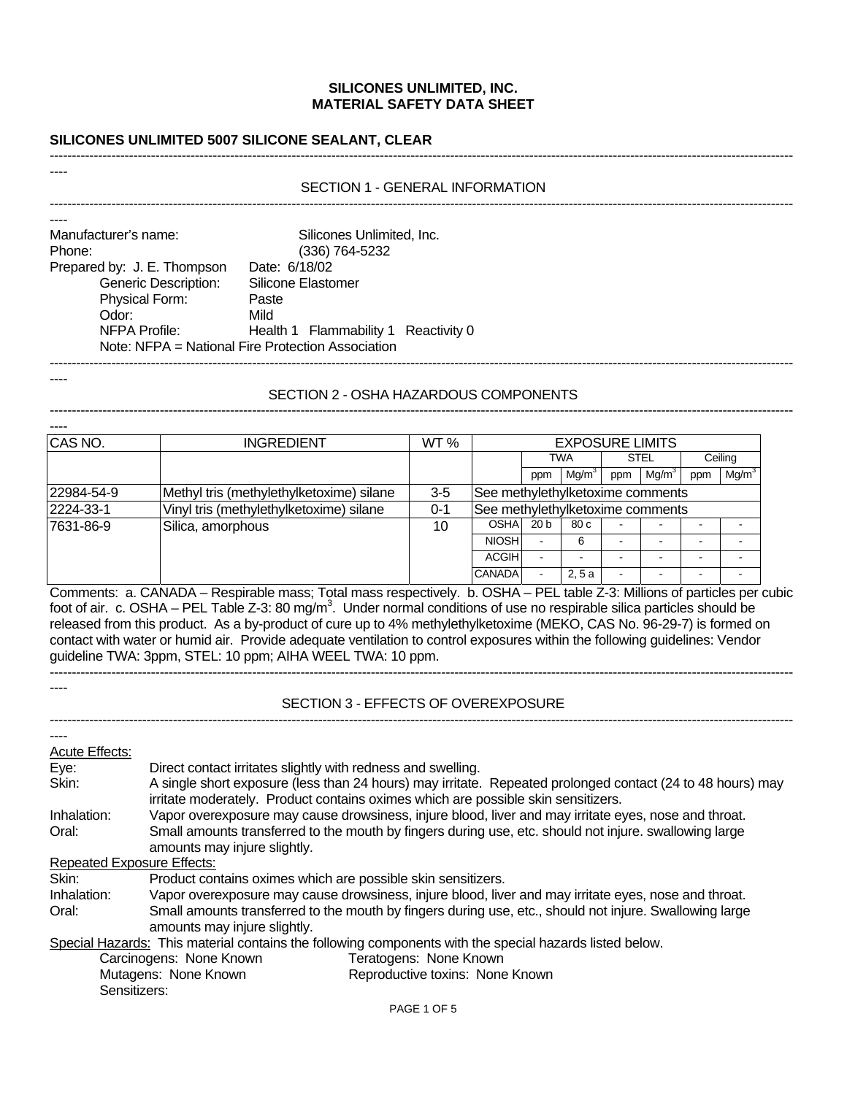# **SILICONES UNLIMITED 5007 SILICONE SEALANT, CLEAR**

## SECTION 1 - GENERAL INFORMATION -------------------------------------------------------------------------------------------------------------------------------------------------------------------------

-------------------------------------------------------------------------------------------------------------------------------------------------------------------------

| Manufacturer's name:        | Silicones Unlimited, Inc.                         |
|-----------------------------|---------------------------------------------------|
| Phone:                      | (336) 764-5232                                    |
| Prepared by: J. E. Thompson | Date: 6/18/02                                     |
| <b>Generic Description:</b> | Silicone Elastomer                                |
| Physical Form:              | Paste                                             |
| Odor:                       | Mild                                              |
| NFPA Profile:               | Health 1 Flammability 1 Reactivity 0              |
|                             | Note: NFPA = National Fire Protection Association |
|                             |                                                   |

----

----

----

## SECTION 2 - OSHA HAZARDOUS COMPONENTS -------------------------------------------------------------------------------------------------------------------------------------------------------------------------

| CAS NO.    | <b>INGREDIENT</b>                        | WT <sub>%</sub> | <b>EXPOSURE LIMITS</b>           |                 |                   |     |                   |     |                   |
|------------|------------------------------------------|-----------------|----------------------------------|-----------------|-------------------|-----|-------------------|-----|-------------------|
|            |                                          |                 |                                  |                 | TWA               |     | <b>STEL</b>       |     | Ceiling           |
|            |                                          |                 |                                  | ppm             | Mg/m <sup>3</sup> | ppm | Mg/m <sup>3</sup> | ppm | Mg/m <sup>3</sup> |
| 22984-54-9 | Methyl tris (methylethylketoxime) silane | $3-5$           | See methylethylketoxime comments |                 |                   |     |                   |     |                   |
| 2224-33-1  | Vinyl tris (methylethylketoxime) silane  | $0 - 1$         | See methylethylketoxime comments |                 |                   |     |                   |     |                   |
| 7631-86-9  | Silica, amorphous                        | 10              | <b>OSHA</b>                      | 20 <sub>b</sub> | 80c               |     |                   |     |                   |
|            |                                          |                 | <b>NIOSH</b>                     |                 | 6                 |     |                   |     |                   |
|            |                                          |                 | <b>ACGIH</b>                     |                 |                   |     |                   |     |                   |
|            |                                          |                 | <b>CANADA</b>                    |                 | 2,5a              |     |                   |     |                   |

Comments: a. CANADA – Respirable mass; Total mass respectively. b. OSHA – PEL table Z-3: Millions of particles per cubic foot of air. c. OSHA – PEL Table Z-3: 80 mg/m<sup>3</sup>. Under normal conditions of use no respirable silica particles should be released from this product. As a by-product of cure up to 4% methylethylketoxime (MEKO, CAS No. 96-29-7) is formed on contact with water or humid air. Provide adequate ventilation to control exposures within the following guidelines: Vendor guideline TWA: 3ppm, STEL: 10 ppm; AIHA WEEL TWA: 10 ppm.

## SECTION 3 - EFFECTS OF OVEREXPOSURE -------------------------------------------------------------------------------------------------------------------------------------------------------------------------

-------------------------------------------------------------------------------------------------------------------------------------------------------------------------

| Acute Effects:                    |                                                                                                                                                                                                 |  |  |  |
|-----------------------------------|-------------------------------------------------------------------------------------------------------------------------------------------------------------------------------------------------|--|--|--|
| Eye:                              | Direct contact irritates slightly with redness and swelling.                                                                                                                                    |  |  |  |
| Skin:                             | A single short exposure (less than 24 hours) may irritate. Repeated prolonged contact (24 to 48 hours) may<br>irritate moderately. Product contains oximes which are possible skin sensitizers. |  |  |  |
| Inhalation:                       | Vapor overexposure may cause drowsiness, injure blood, liver and may irritate eyes, nose and throat.                                                                                            |  |  |  |
| Oral:                             | Small amounts transferred to the mouth by fingers during use, etc. should not injure. swallowing large<br>amounts may injure slightly.                                                          |  |  |  |
| <b>Repeated Exposure Effects:</b> |                                                                                                                                                                                                 |  |  |  |
| Skin:                             | Product contains oximes which are possible skin sensitizers.                                                                                                                                    |  |  |  |
| Inhalation:                       | Vapor overexposure may cause drowsiness, injure blood, liver and may irritate eyes, nose and throat.                                                                                            |  |  |  |
| Oral:                             | Small amounts transferred to the mouth by fingers during use, etc., should not injure. Swallowing large<br>amounts may injure slightly.                                                         |  |  |  |
|                                   | Special Hazards: This material contains the following components with the special hazards listed below.                                                                                         |  |  |  |
|                                   | Teratogens: None Known<br>Carcinogens: None Known                                                                                                                                               |  |  |  |
|                                   | Mutagens: None Known<br>Reproductive toxins: None Known                                                                                                                                         |  |  |  |
| Sensitizers:                      |                                                                                                                                                                                                 |  |  |  |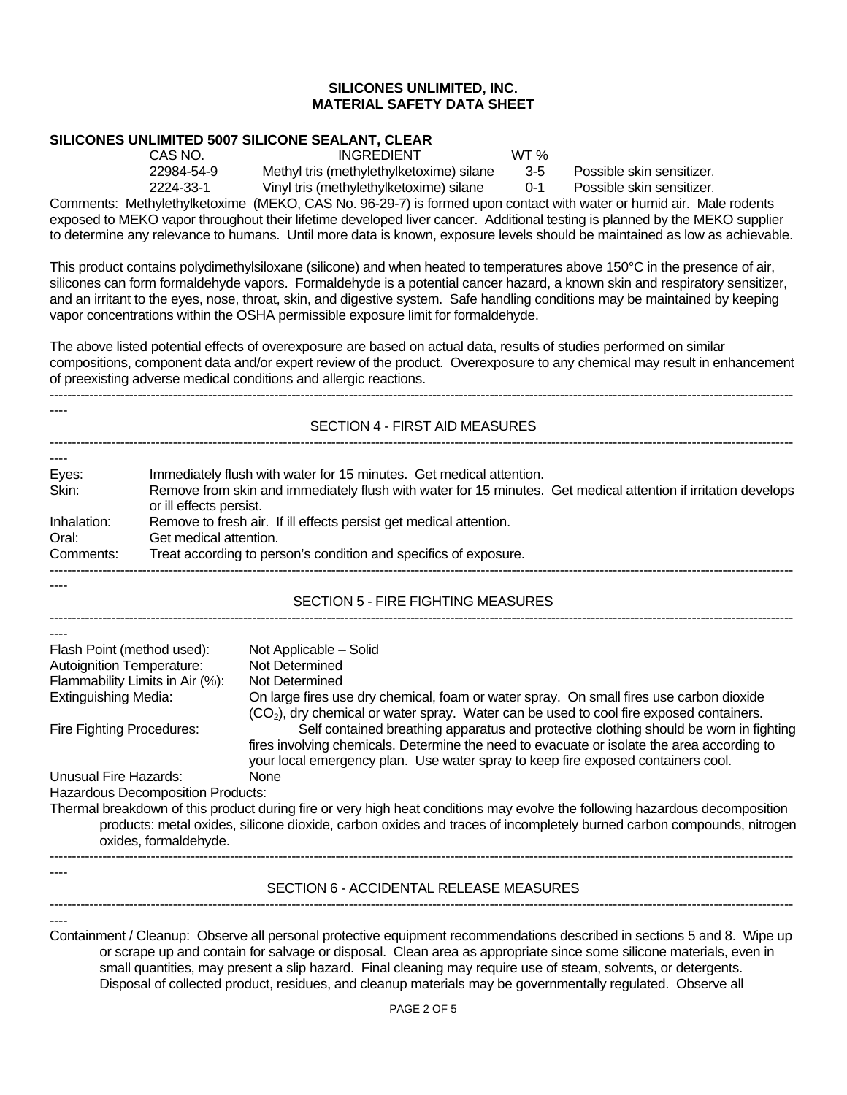# **SILICONES UNLIMITED 5007 SILICONE SEALANT, CLEAR**

CAS NO. INGREDIENT WT % 22984-54-9 Methyl tris (methylethylketoxime) silane 3-5 Possible skin sensitizer.

2224-33-1 Vinyl tris (methylethylketoxime) silane 0-1 Possible skin sensitizer.

Comments: Methylethylketoxime (MEKO, CAS No. 96-29-7) is formed upon contact with water or humid air. Male rodents exposed to MEKO vapor throughout their lifetime developed liver cancer. Additional testing is planned by the MEKO supplier to determine any relevance to humans. Until more data is known, exposure levels should be maintained as low as achievable.

This product contains polydimethylsiloxane (silicone) and when heated to temperatures above 150°C in the presence of air, silicones can form formaldehyde vapors. Formaldehyde is a potential cancer hazard, a known skin and respiratory sensitizer, and an irritant to the eyes, nose, throat, skin, and digestive system. Safe handling conditions may be maintained by keeping vapor concentrations within the OSHA permissible exposure limit for formaldehyde.

The above listed potential effects of overexposure are based on actual data, results of studies performed on similar compositions, component data and/or expert review of the product. Overexposure to any chemical may result in enhancement of preexisting adverse medical conditions and allergic reactions.

-------------------------------------------------------------------------------------------------------------------------------------------------------------------------

SECTION 4 - FIRST AID MEASURES -------------------------------------------------------------------------------------------------------------------------------------------------------------------------

| $---$       |                                                                                                                                           |
|-------------|-------------------------------------------------------------------------------------------------------------------------------------------|
| Eyes:       | Immediately flush with water for 15 minutes. Get medical attention.                                                                       |
| Skin:       | Remove from skin and immediately flush with water for 15 minutes. Get medical attention if irritation develops<br>or ill effects persist. |
| Inhalation: | Remove to fresh air. If ill effects persist get medical attention.                                                                        |
| Oral:       | Get medical attention.                                                                                                                    |
| Comments:   | Treat according to person's condition and specifics of exposure.                                                                          |

## SECTION 5 - FIRE FIGHTING MEASURES -------------------------------------------------------------------------------------------------------------------------------------------------------------------------

-------------------------------------------------------------------------------------------------------------------------------------------------------------------------

| Flash Point (method used):                                                                                                  | Not Applicable – Solid                                                                              |  |  |  |
|-----------------------------------------------------------------------------------------------------------------------------|-----------------------------------------------------------------------------------------------------|--|--|--|
| <b>Autoignition Temperature:</b>                                                                                            | Not Determined                                                                                      |  |  |  |
| Flammability Limits in Air (%):                                                                                             | Not Determined                                                                                      |  |  |  |
| <b>Extinguishing Media:</b>                                                                                                 | On large fires use dry chemical, foam or water spray. On small fires use carbon dioxide             |  |  |  |
|                                                                                                                             | (CO <sub>2</sub> ), dry chemical or water spray. Water can be used to cool fire exposed containers. |  |  |  |
| Fire Fighting Procedures:                                                                                                   | Self contained breathing apparatus and protective clothing should be worn in fighting               |  |  |  |
|                                                                                                                             | fires involving chemicals. Determine the need to evacuate or isolate the area according to          |  |  |  |
|                                                                                                                             | your local emergency plan. Use water spray to keep fire exposed containers cool.                    |  |  |  |
| Unusual Fire Hazards:                                                                                                       | <b>None</b>                                                                                         |  |  |  |
| <b>Hazardous Decomposition Products:</b>                                                                                    |                                                                                                     |  |  |  |
| Thermal breakdown of this product during fire or very high heat conditions may evolve the following hazardous decomposition |                                                                                                     |  |  |  |
| products: metal oxides, silicone dioxide, carbon oxides and traces of incompletely burned carbon compounds, nitrogen        |                                                                                                     |  |  |  |
| oxides, formaldehyde.                                                                                                       |                                                                                                     |  |  |  |
|                                                                                                                             |                                                                                                     |  |  |  |

## SECTION 6 - ACCIDENTAL RELEASE MEASURES -------------------------------------------------------------------------------------------------------------------------------------------------------------------------

----

----

----

----

Containment / Cleanup: Observe all personal protective equipment recommendations described in sections 5 and 8. Wipe up or scrape up and contain for salvage or disposal. Clean area as appropriate since some silicone materials, even in small quantities, may present a slip hazard. Final cleaning may require use of steam, solvents, or detergents. Disposal of collected product, residues, and cleanup materials may be governmentally regulated. Observe all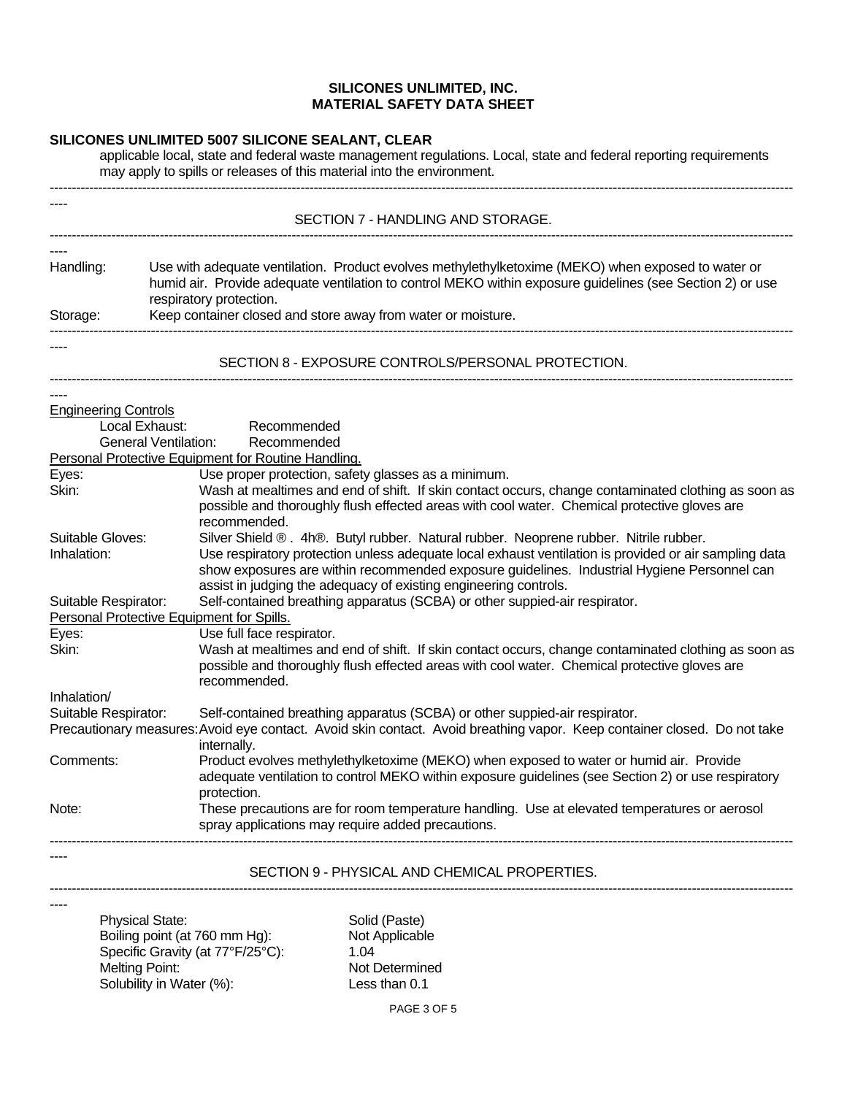## **SILICONES UNLIMITED 5007 SILICONE SEALANT, CLEAR**

applicable local, state and federal waste management regulations. Local, state and federal reporting requirements may apply to spills or releases of this material into the environment.

|                                 | SECTION 7 - HANDLING AND STORAGE.                                                                                                                                                                                                                                                                                                                                |  |  |
|---------------------------------|------------------------------------------------------------------------------------------------------------------------------------------------------------------------------------------------------------------------------------------------------------------------------------------------------------------------------------------------------------------|--|--|
|                                 |                                                                                                                                                                                                                                                                                                                                                                  |  |  |
| Handling:<br>Storage:           | Use with adequate ventilation. Product evolves methylethylketoxime (MEKO) when exposed to water or<br>humid air. Provide adequate ventilation to control MEKO within exposure guidelines (see Section 2) or use<br>respiratory protection.                                                                                                                       |  |  |
|                                 | Keep container closed and store away from water or moisture.                                                                                                                                                                                                                                                                                                     |  |  |
|                                 | SECTION 8 - EXPOSURE CONTROLS/PERSONAL PROTECTION.                                                                                                                                                                                                                                                                                                               |  |  |
| <b>Engineering Controls</b>     |                                                                                                                                                                                                                                                                                                                                                                  |  |  |
|                                 | Local Exhaust:<br>Recommended                                                                                                                                                                                                                                                                                                                                    |  |  |
|                                 | <b>General Ventilation:</b><br>Recommended                                                                                                                                                                                                                                                                                                                       |  |  |
|                                 | Personal Protective Equipment for Routine Handling.                                                                                                                                                                                                                                                                                                              |  |  |
| Eyes:                           | Use proper protection, safety glasses as a minimum.                                                                                                                                                                                                                                                                                                              |  |  |
| Skin:                           | Wash at mealtimes and end of shift. If skin contact occurs, change contaminated clothing as soon as<br>possible and thoroughly flush effected areas with cool water. Chemical protective gloves are<br>recommended.                                                                                                                                              |  |  |
| Suitable Gloves:<br>Inhalation: | Silver Shield ®. 4h®. Butyl rubber. Natural rubber. Neoprene rubber. Nitrile rubber.<br>Use respiratory protection unless adequate local exhaust ventilation is provided or air sampling data<br>show exposures are within recommended exposure guidelines. Industrial Hygiene Personnel can<br>assist in judging the adequacy of existing engineering controls. |  |  |
| Suitable Respirator:            | Self-contained breathing apparatus (SCBA) or other suppied-air respirator.<br>Personal Protective Equipment for Spills.                                                                                                                                                                                                                                          |  |  |
| Eyes:                           | Use full face respirator.                                                                                                                                                                                                                                                                                                                                        |  |  |
| Skin:                           | Wash at mealtimes and end of shift. If skin contact occurs, change contaminated clothing as soon as<br>possible and thoroughly flush effected areas with cool water. Chemical protective gloves are<br>recommended.                                                                                                                                              |  |  |
| Inhalation/                     |                                                                                                                                                                                                                                                                                                                                                                  |  |  |
| Suitable Respirator:            | Self-contained breathing apparatus (SCBA) or other suppied-air respirator.                                                                                                                                                                                                                                                                                       |  |  |
|                                 | Precautionary measures: Avoid eye contact. Avoid skin contact. Avoid breathing vapor. Keep container closed. Do not take<br>internally.                                                                                                                                                                                                                          |  |  |
| Comments:                       | Product evolves methylethylketoxime (MEKO) when exposed to water or humid air. Provide<br>adequate ventilation to control MEKO within exposure guidelines (see Section 2) or use respiratory<br>protection.                                                                                                                                                      |  |  |
| Note:                           | These precautions are for room temperature handling. Use at elevated temperatures or aerosol<br>spray applications may require added precautions.                                                                                                                                                                                                                |  |  |
|                                 | SECTION 9 - PHYSICAL AND CHEMICAL PROPERTIES.                                                                                                                                                                                                                                                                                                                    |  |  |
|                                 |                                                                                                                                                                                                                                                                                                                                                                  |  |  |

Physical State: Solid (Paste)<br>Boiling point (at 760 mm Hg): Not Applicable Boiling point (at 760 mm Hg):<br>Specific Gravity (at  $77^{\circ}F/25^{\circ}C$ ): 1.04 Specific Gravity (at 77°F/25°C):<br>Melting Point: Solubility in Water (%): Less than 0.1

Not Determined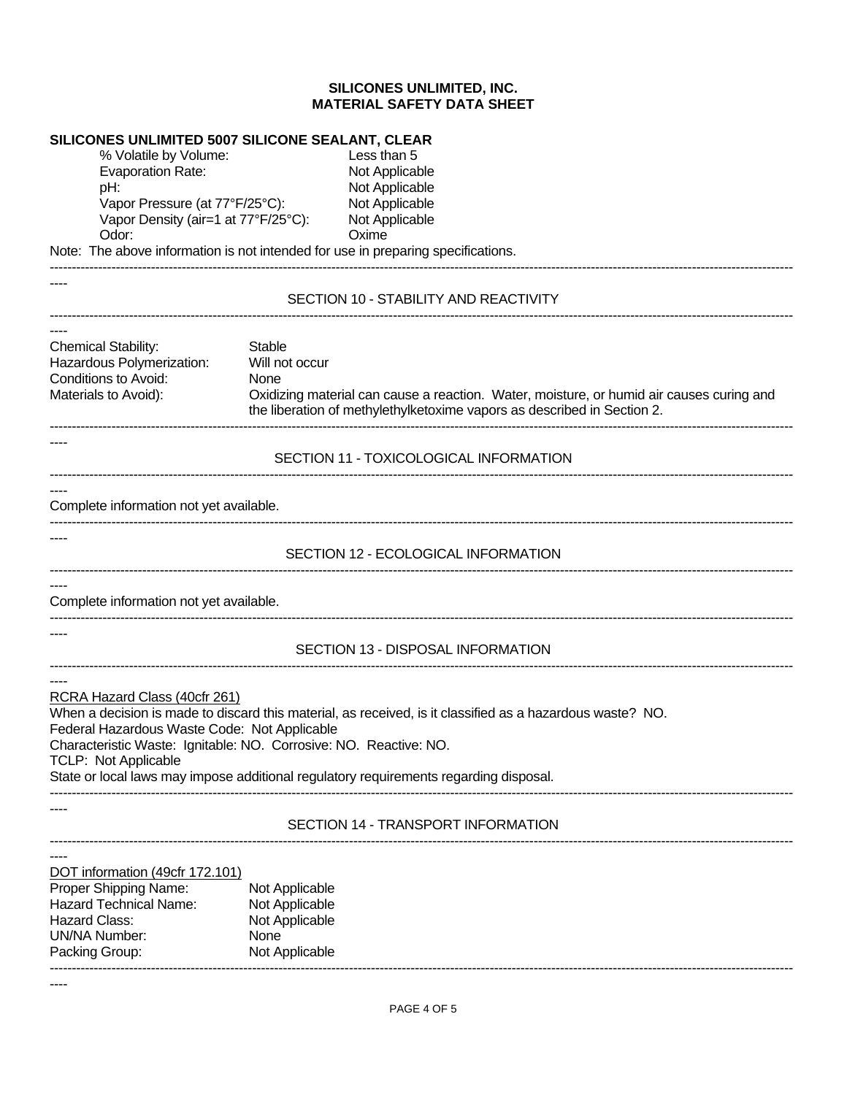## **SILICONES UNLIMITED 5007 SILICONE SEALANT, CLEAR**

% Volatile by Volume: Less than 5 Evaporation Rate: Not Applicable pH: Not Applicable Vapor Pressure (at 77°F/25°C): Not Applicable Vapor Density (air=1 at 77°F/25°C): Not Applicable Odor: Cassing Contract Contract Contract Contract Contract Contract Contract Contract Contract Contract Contract Contract Contract Contract Contract Contract Contract Contract Contract Contract Contract Contract Contract C

Note: The above information is not intended for use in preparing specifications.

## SECTION 10 - STABILITY AND REACTIVITY -------------------------------------------------------------------------------------------------------------------------------------------------------------------------

-------------------------------------------------------------------------------------------------------------------------------------------------------------------------

Chemical Stability: Stable<br>
Hazardous Polymerization: Will not occur Hazardous Polymerization: Conditions to Avoid: None Materials to Avoid): Oxidizing material can cause a reaction. Water, moisture, or humid air causes curing and the liberation of methylethylketoxime vapors as described in Section 2.

-------------------------------------------------------------------------------------------------------------------------------------------------------------------------

#### SECTION 11 - TOXICOLOGICAL INFORMATION -------------------------------------------------------------------------------------------------------------------------------------------------------------------------

----

----

----

----

#### Complete information not yet available. -------------------------------------------------------------------------------------------------------------------------------------------------------------------------

----

----

----

----

#### SECTION 12 - ECOLOGICAL INFORMATION -------------------------------------------------------------------------------------------------------------------------------------------------------------------------

---- Complete information not yet available.

SECTION 13 - DISPOSAL INFORMATION -------------------------------------------------------------------------------------------------------------------------------------------------------------------------

-------------------------------------------------------------------------------------------------------------------------------------------------------------------------

RCRA Hazard Class (40cfr 261)

When a decision is made to discard this material, as received, is it classified as a hazardous waste? NO. Federal Hazardous Waste Code: Not Applicable Characteristic Waste: Ignitable: NO. Corrosive: NO. Reactive: NO. TCLP: Not Applicable State or local laws may impose additional regulatory requirements regarding disposal. -------------------------------------------------------------------------------------------------------------------------------------------------------------------------

## SECTION 14 - TRANSPORT INFORMATION -------------------------------------------------------------------------------------------------------------------------------------------------------------------------

| DOT information (49cfr 172.101) |                |
|---------------------------------|----------------|
| Proper Shipping Name:           | Not Applicable |
| <b>Hazard Technical Name:</b>   | Not Applicable |
| Hazard Class:                   | Not Applicable |
| UN/NA Number:                   | None           |
| Packing Group:                  | Not Applicable |

-------------------------------------------------------------------------------------------------------------------------------------------------------------------------